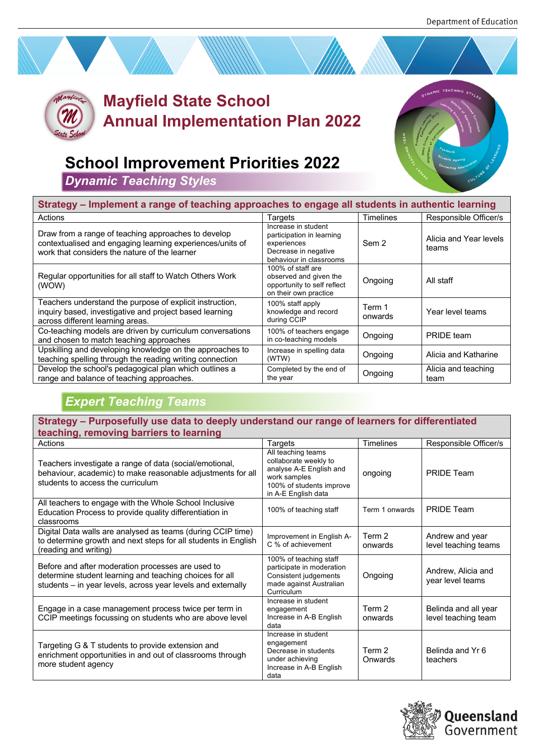

## **Mayfield State School Annual Implementation Plan 2022**



## **School Improvement Priorities 2022**

*Dynamic Teaching Styles*

| Strategy – Implement a range of teaching approaches to engage all students in authentic learning                                                                  |                                                                                                                    |                   |                                 |  |  |
|-------------------------------------------------------------------------------------------------------------------------------------------------------------------|--------------------------------------------------------------------------------------------------------------------|-------------------|---------------------------------|--|--|
| Actions                                                                                                                                                           | Targets                                                                                                            | <b>Timelines</b>  | Responsible Officer/s           |  |  |
| Draw from a range of teaching approaches to develop<br>contextualised and engaging learning experiences/units of<br>work that considers the nature of the learner | Increase in student<br>participation in learning<br>experiences<br>Decrease in negative<br>behaviour in classrooms | Sem 2             | Alicia and Year levels<br>teams |  |  |
| Regular opportunities for all staff to Watch Others Work<br>(WOW)                                                                                                 | 100% of staff are<br>observed and given the<br>opportunity to self reflect<br>on their own practice                | Ongoing           | All staff                       |  |  |
| Teachers understand the purpose of explicit instruction,<br>inquiry based, investigative and project based learning<br>across different learning areas.           | 100% staff apply<br>knowledge and record<br>during CCIP                                                            | Term 1<br>onwards | Year level teams                |  |  |
| Co-teaching models are driven by curriculum conversations<br>and chosen to match teaching approaches                                                              | 100% of teachers engage<br>in co-teaching models                                                                   | Ongoing           | PRIDE team                      |  |  |
| Upskilling and developing knowledge on the approaches to<br>teaching spelling through the reading writing connection                                              | Increase in spelling data<br>(WTW)                                                                                 | Ongoing           | Alicia and Katharine            |  |  |
| Develop the school's pedagogical plan which outlines a<br>range and balance of teaching approaches.                                                               | Completed by the end of<br>the year                                                                                | Ongoing           | Alicia and teaching<br>team     |  |  |

## *Expert Teaching Teams*

**Strategy – Purposefully use data to deeply understand our range of learners for differentiated teaching, removing barriers to learning**

| Actions                                                                                                                                                                      | Targets                                                                                                                                   | Timelines         | Responsible Officer/s                       |
|------------------------------------------------------------------------------------------------------------------------------------------------------------------------------|-------------------------------------------------------------------------------------------------------------------------------------------|-------------------|---------------------------------------------|
| Teachers investigate a range of data (social/emotional,<br>behaviour, academic) to make reasonable adjustments for all<br>students to access the curriculum                  | All teaching teams<br>collaborate weekly to<br>analyse A-E English and<br>work samples<br>100% of students improve<br>in A-E English data | ongoing           | PRIDE Team                                  |
| All teachers to engage with the Whole School Inclusive<br>Education Process to provide quality differentiation in<br>classrooms                                              | 100% of teaching staff                                                                                                                    | Term 1 onwards    | <b>PRIDE Team</b>                           |
| Digital Data walls are analysed as teams (during CCIP time)<br>to determine growth and next steps for all students in English<br>(reading and writing)                       | Improvement in English A-<br>C % of achievement                                                                                           | Term 2<br>onwards | Andrew and year<br>level teaching teams     |
| Before and after moderation processes are used to<br>determine student learning and teaching choices for all<br>students - in year levels, across year levels and externally | 100% of teaching staff<br>participate in moderation<br>Consistent judgements<br>made against Australian<br>Curriculum                     | Ongoing           | Andrew, Alicia and<br>year level teams      |
| Engage in a case management process twice per term in<br>CCIP meetings focussing on students who are above level                                                             | Increase in student<br>engagement<br>Increase in A-B English<br>data                                                                      | Term 2<br>onwards | Belinda and all year<br>level teaching team |
| Targeting G & T students to provide extension and<br>enrichment opportunities in and out of classrooms through<br>more student agency                                        | Increase in student<br>engagement<br>Decrease in students<br>under achieving<br>Increase in A-B English<br>data                           | Term 2<br>Onwards | Belinda and Yr 6<br>teachers                |